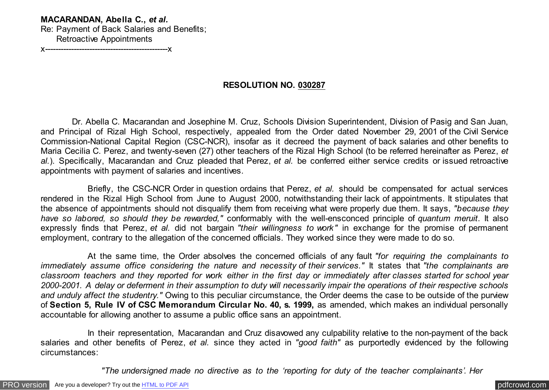## **MACARANDAN, Abella C.,** *et al.*

Re: Payment of Back Salaries and Benefits; Retroactive Appointments

x-----------------------------------------------x

## **RESOLUTION NO. 030287**

 Dr. Abella C. Macarandan and Josephine M. Cruz, Schools Division Superintendent, Division of Pasig and San Juan, and Principal of Rizal High School, respectively, appealed from the Order dated November 29, 2001 of the Civil Service Commission-National Capital Region (CSC-NCR), insofar as it decreed the payment of back salaries and other benefits to Maria Cecilia C. Perez, and twenty-seven (27) other teachers of the Rizal High School (to be referred hereinafter as Perez, *et al.*). Specifically, Macarandan and Cruz pleaded that Perez, *et al.* be conferred either service credits or issued retroactive appointments with payment of salaries and incentives.

 Briefly, the CSC-NCR Order in question ordains that Perez, *et al.* should be compensated for actual services rendered in the Rizal High School from June to August 2000, notwithstanding their lack of appointments. It stipulates that the absence of appointments should not disqualify them from receiving what were properly due them. It says, *"because they have so labored, so should they be rewarded,"* conformably with the well-ensconced principle of *quantum meruit*. It also expressly finds that Perez, *et al.* did not bargain *"their willingness to work"* in exchange for the promise of permanent employment, contrary to the allegation of the concerned officials. They worked since they were made to do so.

 At the same time, the Order absolves the concerned officials of any fault *"for requiring the complainants to immediately assume office considering the nature and necessity of their services."* It states that *"the complainants are classroom teachers and they reported for work either in the first day or immediately after classes started for school year 2000-2001. A delay or deferment in their assumption to duty will necessarily impair the operations of their respective schools and unduly affect the studentry."* Owing to this peculiar circumstance, the Order deems the case to be outside of the purview of **Section 5, Rule IV of CSC Memorandum Circular No. 40, s. 1999,** as amended, which makes an individual personally accountable for allowing another to assume a public office sans an appointment.

 In their representation, Macarandan and Cruz disavowed any culpability relative to the non-payment of the back salaries and other benefits of Perez, *et al.* since they acted in *"good faith"* as purportedly evidenced by the following circumstances:

 *"The undersigned made no directive as to the 'reporting for duty of the teacher complainants'. Her*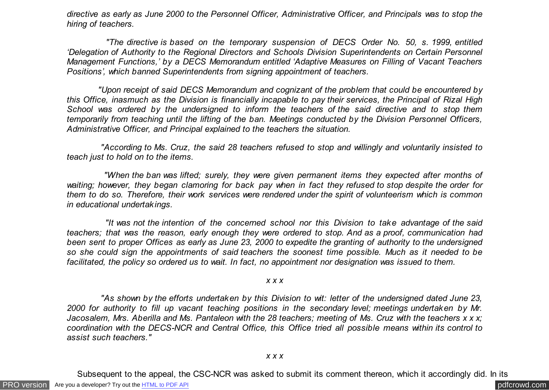*directive as early as June 2000 to the Personnel Officer, Administrative Officer, and Principals was to stop the hiring of teachers.*

 *"The directive is based on the temporary suspension of DECS Order No. 50, s. 1999, entitled 'Delegation of Authority to the Regional Directors and Schools Division Superintendents on Certain Personnel Management Functions,' by a DECS Memorandum entitled 'Adaptive Measures on Filling of Vacant Teachers Positions', which banned Superintendents from signing appointment of teachers.*

 *"Upon receipt of said DECS Memorandum and cognizant of the problem that could be encountered by this Office, inasmuch as the Division is financially incapable to pay their services, the Principal of Rizal High School was ordered by the undersigned to inform the teachers of the said directive and to stop them temporarily from teaching until the lifting of the ban. Meetings conducted by the Division Personnel Officers, Administrative Officer, and Principal explained to the teachers the situation.*

 *"According to Ms. Cruz, the said 28 teachers refused to stop and willingly and voluntarily insisted to teach just to hold on to the items.*

 *"When the ban was lifted; surely, they were given permanent items they expected after months of waiting; however, they began clamoring for back pay when in fact they refused to stop despite the order for them to do so. Therefore, their work services were rendered under the spirit of volunteerism which is common in educational undertakings.*

 *"It was not the intention of the concerned school nor this Division to take advantage of the said teachers; that was the reason, early enough they were ordered to stop. And as a proof, communication had been sent to proper Offices as early as June 23, 2000 to expedite the granting of authority to the undersigned so she could sign the appointments of said teachers the soonest time possible. Much as it needed to be facilitated, the policy so ordered us to wait. In fact, no appointment nor designation was issued to them.*

*x x x*

 *"As shown by the efforts undertaken by this Division to wit: letter of the undersigned dated June 23, 2000 for authority to fill up vacant teaching positions in the secondary level; meetings undertaken by Mr. Jacosalem, Mrs. Aberilla and Ms. Pantaleon with the 28 teachers; meeting of Ms. Cruz with the teachers x x x; coordination with the DECS-NCR and Central Office, this Office tried all possible means within its control to assist such teachers."*

Subsequent to the appeal, the CSC-NCR was asked to submit its comment thereon, which it accordingly did. In its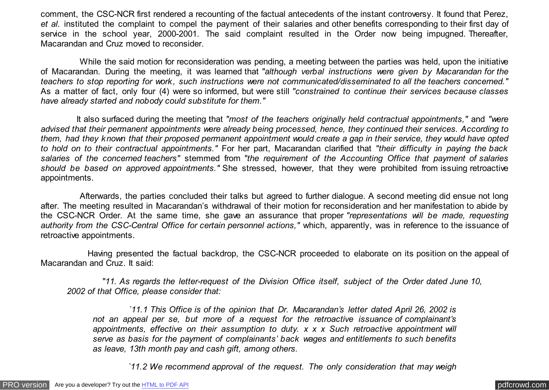comment, the CSC-NCR first rendered a recounting of the factual antecedents of the instant controversy. It found that Perez, *et al.* instituted the complaint to compel the payment of their salaries and other benefits corresponding to their first day of service in the school year, 2000-2001. The said complaint resulted in the Order now being impugned. Thereafter, Macarandan and Cruz moved to reconsider.

 While the said motion for reconsideration was pending, a meeting between the parties was held, upon the initiative of Macarandan. During the meeting, it was learned that *"although verbal instructions were given by Macarandan for the teachers to stop reporting for work, such instructions were not communicated/disseminated to all the teachers concerned."* As a matter of fact, only four (4) were so informed, but were still *"constrained to continue their services because classes have already started and nobody could substitute for them."*

 It also surfaced during the meeting that *"most of the teachers originally held contractual appointments,"* and *"were advised that their permanent appointments were already being processed, hence, they continued their services. According to them, had they known that their proposed permanent appointment would create a gap in their service, they would have opted to hold on to their contractual appointments."* For her part, Macarandan clarified that *"their difficulty in paying the back salaries of the concerned teachers"* stemmed from *"the requirement of the Accounting Office that payment of salaries should be based on approved appointments."* She stressed, however, that they were prohibited from issuing retroactive appointments.

 Afterwards, the parties concluded their talks but agreed to further dialogue. A second meeting did ensue not long after. The meeting resulted in Macarandan's withdrawal of their motion for reconsideration and her manifestation to abide by the CSC-NCR Order. At the same time, she gave an assurance that proper *"representations will be made, requesting authority from the CSC-Central Office for certain personnel actions,"* which, apparently, was in reference to the issuance of retroactive appointments.

 Having presented the factual backdrop, the CSC-NCR proceeded to elaborate on its position on the appeal of Macarandan and Cruz. It said:

 *"11. As regards the letter-request of the Division Office itself, subject of the Order dated June 10, 2002 of that Office, please consider that:*

 *`11.1 This Office is of the opinion that Dr. Macarandan's letter dated April 26, 2002 is not an appeal per se, but more of a request for the retroactive issuance of complainant's appointments, effective on their assumption to duty. x x x Such retroactive appointment will serve as basis for the payment of complainants' back wages and entitlements to such benefits as leave, 13th month pay and cash gift, among others.*

 *`11.2 We recommend approval of the request. The only consideration that may weigh*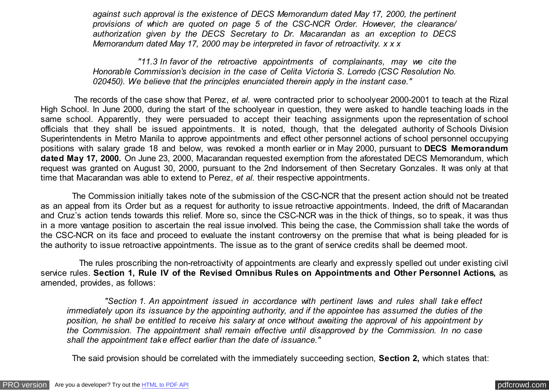*against such approval is the existence of DECS Memorandum dated May 17, 2000, the pertinent provisions of which are quoted on page 5 of the CSC-NCR Order. However, the clearance/ authorization given by the DECS Secretary to Dr. Macarandan as an exception to DECS Memorandum dated May 17, 2000 may be interpreted in favor of retroactivity. x x x*

 *"11.3 In favor of the retroactive appointments of complainants, may we cite the Honorable Commission's decision in the case of Celita Victoria S. Lorredo (CSC Resolution No. 020450). We believe that the principles enunciated therein apply in the instant case."*

 The records of the case show that Perez, *et al.* were contracted prior to schoolyear 2000-2001 to teach at the Rizal High School. In June 2000, during the start of the schoolyear in question, they were asked to handle teaching loads in the same school. Apparently, they were persuaded to accept their teaching assignments upon the representation of school officials that they shall be issued appointments. It is noted, though, that the delegated authority of Schools Division Superintendents in Metro Manila to approve appointments and effect other personnel actions of school personnel occupying positions with salary grade 18 and below, was revoked a month earlier or in May 2000, pursuant to **DECS Memorandum dated May 17, 2000.** On June 23, 2000, Macarandan requested exemption from the aforestated DECS Memorandum, which request was granted on August 30, 2000, pursuant to the 2nd Indorsement of then Secretary Gonzales. It was only at that time that Macarandan was able to extend to Perez, *et al.* their respective appointments.

 The Commission initially takes note of the submission of the CSC-NCR that the present action should not be treated as an appeal from its Order but as a request for authority to issue retroactive appointments. Indeed, the drift of Macarandan and Cruz's action tends towards this relief. More so, since the CSC-NCR was in the thick of things, so to speak, it was thus in a more vantage position to ascertain the real issue involved. This being the case, the Commission shall take the words of the CSC-NCR on its face and proceed to evaluate the instant controversy on the premise that what is being pleaded for is the authority to issue retroactive appointments. The issue as to the grant of service credits shall be deemed moot.

 The rules proscribing the non-retroactivity of appointments are clearly and expressly spelled out under existing civil service rules. **Section 1, Rule IV of the Revised Omnibus Rules on Appointments and Other Personnel Actions,** as amended, provides, as follows:

 *"Section 1. An appointment issued in accordance with pertinent laws and rules shall take effect immediately upon its issuance by the appointing authority, and if the appointee has assumed the duties of the position, he shall be entitled to receive his salary at once without awaiting the approval of his appointment by the Commission. The appointment shall remain effective until disapproved by the Commission. In no case shall the appointment take effect earlier than the date of issuance."*

The said provision should be correlated with the immediately succeeding section, **Section 2,** which states that: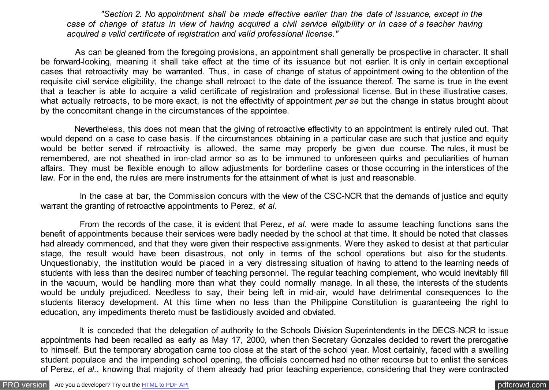*"Section 2. No appointment shall be made effective earlier than the date of issuance, except in the case of change of status in view of having acquired a civil service eligibility or in case of a teacher having acquired a valid certificate of registration and valid professional license."*

 As can be gleaned from the foregoing provisions, an appointment shall generally be prospective in character. It shall be forward-looking, meaning it shall take effect at the time of its issuance but not earlier. It is only in certain exceptional cases that retroactivity may be warranted. Thus, in case of change of status of appointment owing to the obtention of the requisite civil service eligibility, the change shall retroact to the date of the issuance thereof. The same is true in the event that a teacher is able to acquire a valid certificate of registration and professional license. But in these illustrative cases, what actually retroacts, to be more exact, is not the effectivity of appointment *per se* but the change in status brought about by the concomitant change in the circumstances of the appointee.

 Nevertheless, this does not mean that the giving of retroactive effectivity to an appointment is entirely ruled out. That would depend on a case to case basis. If the circumstances obtaining in a particular case are such that justice and equity would be better served if retroactivity is allowed, the same may properly be given due course. The rules, it must be remembered, are not sheathed in iron-clad armor so as to be immuned to unforeseen quirks and peculiarities of human affairs. They must be flexible enough to allow adjustments for borderline cases or those occurring in the interstices of the law. For in the end, the rules are mere instruments for the attainment of what is just and reasonable.

In the case at bar, the Commission concurs with the view of the CSC-NCR that the demands of justice and equity warrant the granting of retroactive appointments to Perez, *et al.*

 From the records of the case, it is evident that Perez, *et al.* were made to assume teaching functions sans the benefit of appointments because their services were badly needed by the school at that time. It should be noted that classes had already commenced, and that they were given their respective assignments. Were they asked to desist at that particular stage, the result would have been disastrous, not only in terms of the school operations but also for the students. Unquestionably, the institution would be placed in a very distressing situation of having to attend to the learning needs of students with less than the desired number of teaching personnel. The regular teaching complement, who would inevitably fill in the vacuum, would be handling more than what they could normally manage. In all these, the interests of the students would be unduly prejudiced. Needless to say, their being left in mid-air, would have detrimental consequences to the students literacy development. At this time when no less than the Philippine Constitution is guaranteeing the right to education, any impediments thereto must be fastidiously avoided and obviated.

 It is conceded that the delegation of authority to the Schools Division Superintendents in the DECS-NCR to issue appointments had been recalled as early as May 17, 2000, when then Secretary Gonzales decided to revert the prerogative to himself. But the temporary abrogation came too close at the start of the school year. Most certainly, faced with a swelling student populace and the impending school opening, the officials concerned had no other recourse but to enlist the services of Perez, *et al.*, knowing that majority of them already had prior teaching experience, considering that they were contracted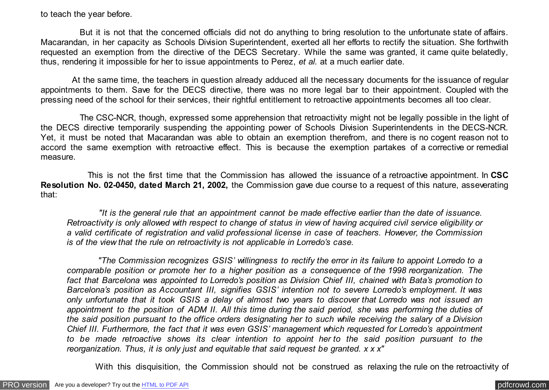## to teach the year before.

 But it is not that the concerned officials did not do anything to bring resolution to the unfortunate state of affairs. Macarandan, in her capacity as Schools Division Superintendent, exerted all her efforts to rectify the situation. She forthwith requested an exemption from the directive of the DECS Secretary. While the same was granted, it came quite belatedly, thus, rendering it impossible for her to issue appointments to Perez, *et al.* at a much earlier date.

 At the same time, the teachers in question already adduced all the necessary documents for the issuance of regular appointments to them. Save for the DECS directive, there was no more legal bar to their appointment. Coupled with the pressing need of the school for their services, their rightful entitlement to retroactive appointments becomes all too clear.

 The CSC-NCR, though, expressed some apprehension that retroactivity might not be legally possible in the light of the DECS directive temporarily suspending the appointing power of Schools Division Superintendents in the DECS-NCR. Yet, it must be noted that Macarandan was able to obtain an exemption therefrom, and there is no cogent reason not to accord the same exemption with retroactive effect. This is because the exemption partakes of a corrective or remedial measure.

 This is not the first time that the Commission has allowed the issuance of a retroactive appointment. In **CSC Resolution No. 02-0450, dated March 21, 2002,** the Commission gave due course to a request of this nature, asseverating that:

 *"It is the general rule that an appointment cannot be made effective earlier than the date of issuance. Retroactivity is only allowed with respect to change of status in view of having acquired civil service eligibility or a valid certificate of registration and valid professional license in case of teachers. However, the Commission is of the view that the rule on retroactivity is not applicable in Lorredo's case.*

 *"The Commission recognizes GSIS' willingness to rectify the error in its failure to appoint Lorredo to a comparable position or promote her to a higher position as a consequence of the 1998 reorganization. The fact that Barcelona was appointed to Lorredo's position as Division Chief III, chained with Bata's promotion to Barcelona's position as Accountant III, signifies GSIS' intention not to severe Lorredo's employment. It was only unfortunate that it took GSIS a delay of almost two years to discover that Lorredo was not issued an appointment to the position of ADM II. All this time during the said period, she was performing the duties of the said position pursuant to the office orders designating her to such while receiving the salary of a Division Chief III. Furthermore, the fact that it was even GSIS' management which requested for Lorredo's appointment to be made retroactive shows its clear intention to appoint her to the said position pursuant to the reorganization. Thus, it is only just and equitable that said request be granted. x x x"*

With this disquisition, the Commission should not be construed as relaxing the rule on the retroactivity of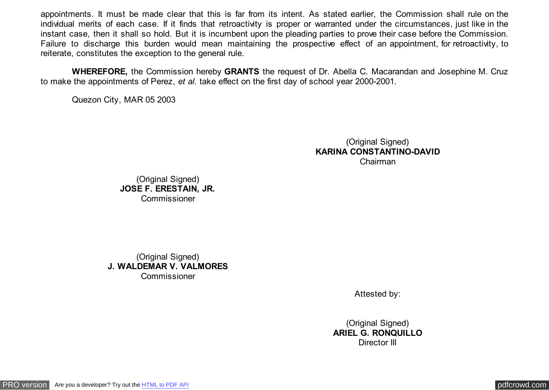appointments. It must be made clear that this is far from its intent. As stated earlier, the Commission shall rule on the individual merits of each case. If it finds that retroactivity is proper or warranted under the circumstances, just like in the instant case, then it shall so hold. But it is incumbent upon the pleading parties to prove their case before the Commission. Failure to discharge this burden would mean maintaining the prospective effect of an appointment, for retroactivity, to reiterate, constitutes the exception to the general rule.

 **WHEREFORE,** the Commission hereby **GRANTS** the request of Dr. Abella C. Macarandan and Josephine M. Cruz to make the appointments of Perez, *et al.* take effect on the first day of school year 2000-2001.

Quezon City, MAR 05 2003

(Original Signed) **KARINA CONSTANTINO-DAVID** Chairman

(Original Signed) **JOSE F. ERESTAIN, JR. Commissioner** 

(Original Signed) **J. WALDEMAR V. VALMORES** Commissioner

Attested by:

(Original Signed) **ARIEL G. RONQUILLO** Director III